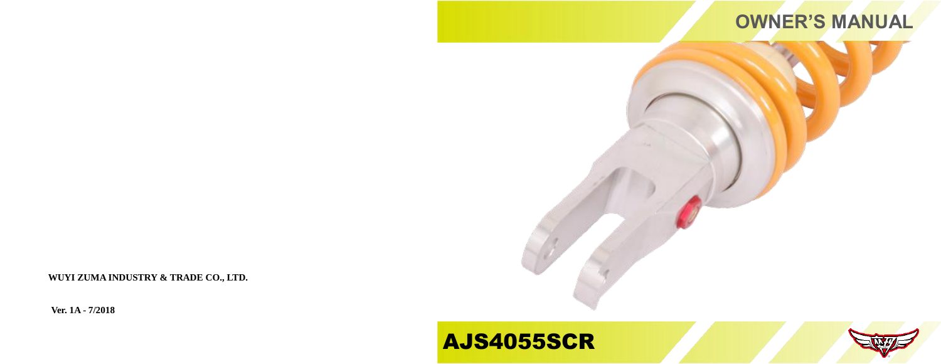

**WUYI ZUMA INDUSTRY & TRADE CO., LTD.**

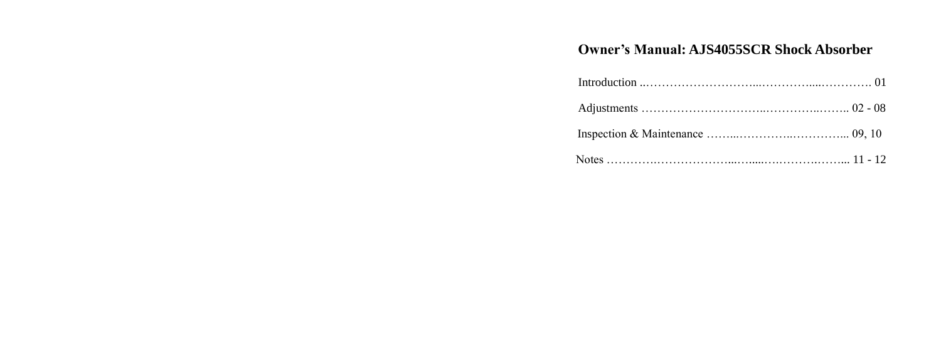## **Owner's Manual: AJS4055SCR Shock Absorber**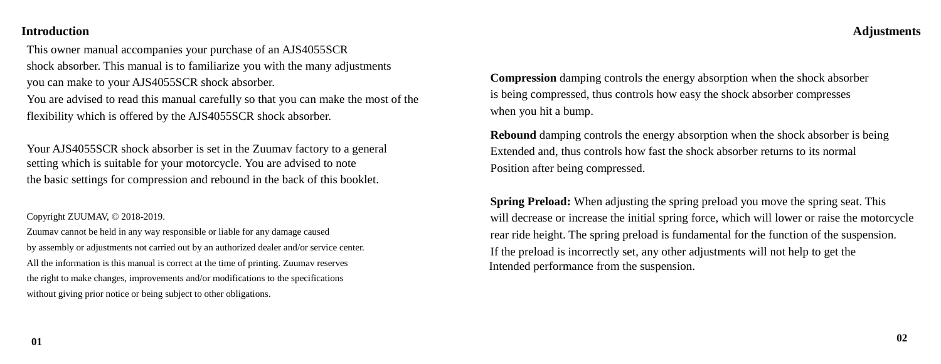### **Adjustments**

### **Introduction**

This owner manual accompanies your purchase of an AJS4055SCR shock absorber. This manual is to familiarize you with the many adjustments you can make to your AJS4055SCR shock absorber.

You are advised to read this manual carefully so that you can make the most of the flexibility which is offered by the AJS4055SCR shock absorber.

Your AJS4055SCR shock absorber is set in the Zuumav factory to a general setting which is suitable for your motorcycle. You are advised to note the basic settings for compression and rebound in the back of this booklet.

Copyright ZUUMAV, © 2018-2019.

Zuumav cannot be held in any way responsible or liable for any damage caused by assembly or adjustments not carried out by an authorized dealer and/or service center. All the information is this manual is correct at the time of printing. Zuumav reserves the right to make changes, improvements and/or modifications to the specifications without giving prior notice or being subject to other obligations.

**Compression** damping controls the energy absorption when the shock absorber is being compressed, thus controls how easy the shock absorber compresses when you hit a bump.

**Rebound** damping controls the energy absorption when the shock absorber is being Extended and, thus controls how fast the shock absorber returns to its normal Position after being compressed.

**Spring Preload:** When adjusting the spring preload you move the spring seat. This will decrease or increase the initial spring force, which will lower or raise the motorcycle rear ride height. The spring preload is fundamental for the function of the suspension. If the preload is incorrectly set, any other adjustments will not help to get the Intended performance from the suspension.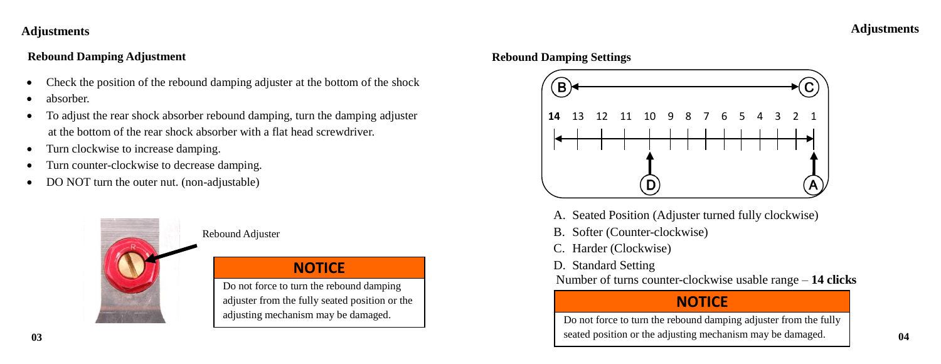### **Adjustments**

### **Rebound Damping Adjustment**

- Check the position of the rebound damping adjuster at the bottom of the shock
- absorber.
- To adjust the rear shock absorber rebound damping, turn the damping adjuster at the bottom of the rear shock absorber with a flat head screwdriver.
- Turn clockwise to increase damping.
- Turn counter-clockwise to decrease damping.
- DO NOT turn the outer nut. (non-adjustable)



### Rebound Adjuster

## **NOTICE**

adjuster from the fully seated position or the adjusting mechanism may be damaged.  $\overline{a}$ 

### **Rebound Damping Settings**



- A. Seated Position (Adjuster turned fully clockwise)
- B. Softer (Counter-clockwise)
- Harder (Clockwise)
- D. Standard Setting

Number of turns counter-clockwise usable range – 14 clicks Do not force to turn the rebound damping

## **NOTICE**

Do not force to turn the rebound damping adjuster from the fully seated position or the adjusting mechanism may be damaged. **03 04** $\overline{a}$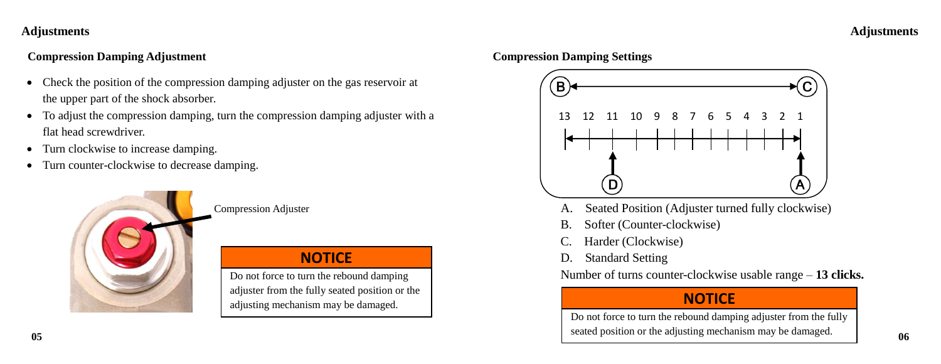## **Adjustments Adjustments**

## **Compression Damping Adjustment Compression Damping Settings**

- Check the position of the compression damping adjuster on the gas reservoir at the upper part of the shock absorber.
- To adjust the compression damping, turn the compression damping adjuster with a flat head screwdriver.
- Turn clockwise to increase damping.
- Turn counter-clockwise to decrease damping.



## **NOTICE**

adjuster from the fully seated position or the adjusting mechanism may be damaged.  $\overline{a}$ 



- Compression Adjuster **A.** Seated Position (Adjuster turned fully clockwise)
	- B. Softer (Counter-clockwise)
	- Harder (Clockwise)
	- D. Standard Setting

Do not force to turn the rebound damping Number of turns counter-clockwise usable range – 13 clicks.

## **NOTICE**

Do not force to turn the rebound damping adjuster from the fully seated position or the adjusting mechanism may be damaged. **05 06** $\overline{a}$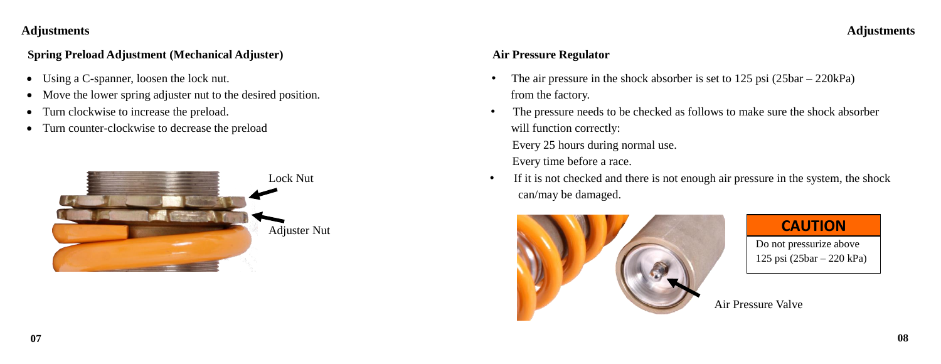### **Adjustments Adjustments**

### **Spring Preload Adjustment** (Mechanical Adjuster) **Air Pressure Regulator Air Pressure Regulator**

- 
- Move the lower spring adjuster nut to the desired position. from the factory.
- 
- Turn counter-clockwise to decrease the preload will function correctly:



- Using a C-spanner, loosen the lock nut. The air pressure in the shock absorber is set to 125 psi (25bar 220kPa)
- Turn clockwise to increase the preload. The pressure needs to be checked as follows to make sure the shock absorber Every 25 hours during normal use.
	- Every time before a race.
	- Lock Nut **•** If it is not checked and there is not enough air pressure in the system, the shock can/may be damaged.



**CAUTION**

Do not pressurize above 125 psi (25bar – 220 kPa)  $\overline{a}$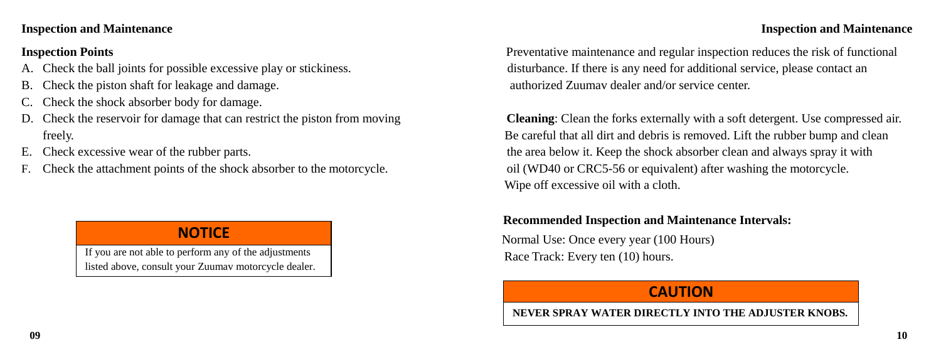### **Inspection and Maintenance Inspection and Maintenance**

İ

- 
- B. Check the piston shaft for leakage and damage. The same state of the state authorized Zuumav dealer and/or service center.
- Check the shock absorber body for damage.
- 
- 
- F. Check the attachment points of the shock absorber to the motorcycle. oil (WD40 or CRC5-56 or equivalent) after washing the motorcycle.

# **NOTICE**

If you are not able to perform any of the adjustments listed above, consult your Zuumav motorcycle dealer.

**Inspection Points** Preventative maintenance and regular inspection reduces the risk of functional Check the ball joints for possible excessive play or stickiness. disturbance. If there is any need for additional service, please contact an

D. Check the reservoir for damage that can restrict the piston from moving **Cleaning**: Clean the forks externally with a soft detergent. Use compressed air. freely. Be careful that all dirt and debris is removed. Lift the rubber bump and clean E. Check excessive wear of the rubber parts. the area below it. Keep the shock absorber clean and always spray it with Wipe off excessive oil with a cloth.

## **Recommended Inspection and Maintenance Intervals:**

 Normal Use: Once every year (100 Hours) Race Track: Every ten (10) hours.

## **CAUTION**

**NEVER SPRAY WATER DIRECTLY INTO THE ADJUSTER KNOBS.**